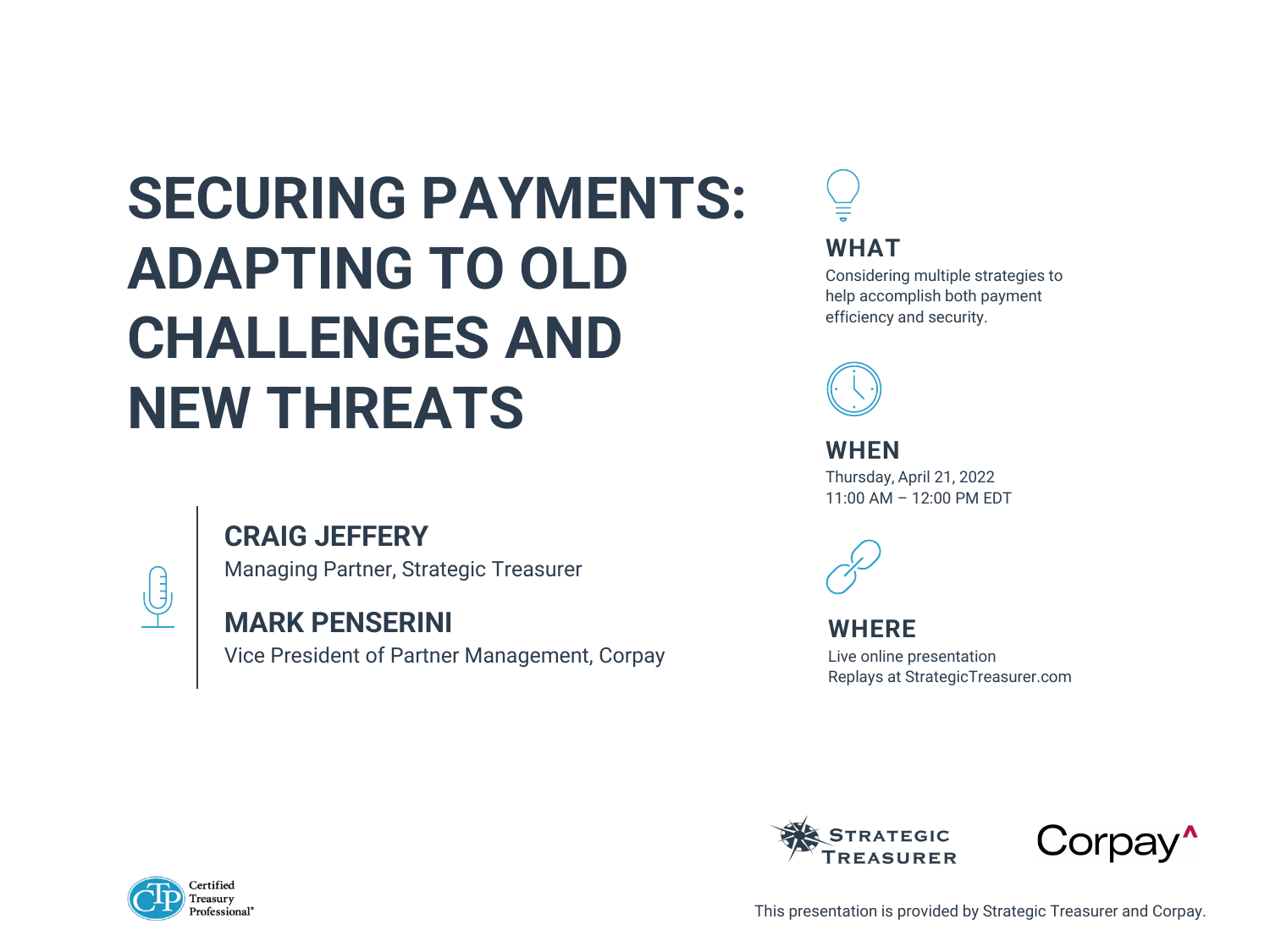# **SECURING PAYMENTS: ADAPTING TO OLD CHALLENGES AND NEW THREATS**

### **CRAIG JEFFERY**



Managing Partner, Strategic Treasurer







### **MARK PENSERINI**

Vice President of Partner Management, Corpay

This presentation is provided by Strategic Treasurer and Corpay.

#### **WHAT**

Considering multiple strategies to help accomplish both payment efficiency and security.



**WHEN** Thursday, April 21, 2022 11:00 AM – 12:00 PM EDT



#### **WHERE**

Live online presentation Replays at StrategicTreasurer.com

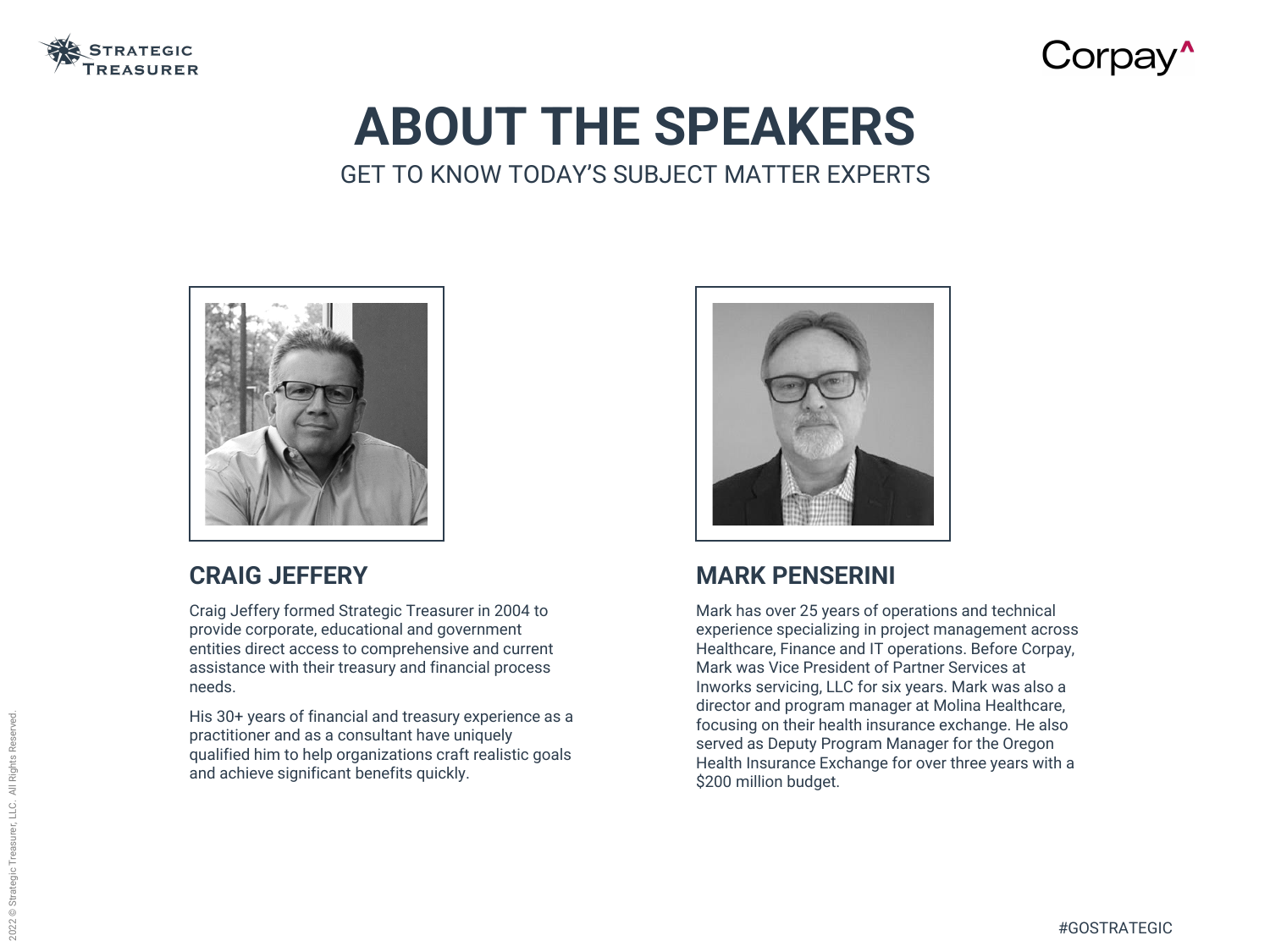

# **ABOUT THE SPEAKERS** GET TO KNOW TODAY'S SUBJECT MATTER EXPERTS



### **CRAIG JEFFERY**

Craig Jeffery formed Strategic Treasurer in 2004 to provide corporate, educational and government entities direct access to comprehensive and current assistance with their treasury and financial process needs.

His 30+ years of financial and treasury experience as a practitioner and as a consultant have uniquely qualified him to help organizations craft realistic goals and achieve significant benefits quickly.

### **MARK PENSERINI**

Mark has over 25 years of operations and technical experience specializing in project management across Healthcare, Finance and IT operations. Before Corpay, Mark was Vice President of Partner Services at Inworks servicing, LLC for six years. Mark was also a director and program manager at Molina Healthcare, focusing on their health insurance exchange. He also served as Deputy Program Manager for the Oregon Health Insurance Exchange for over three years with a \$200 million budget.

# Corpay<sup>^</sup>

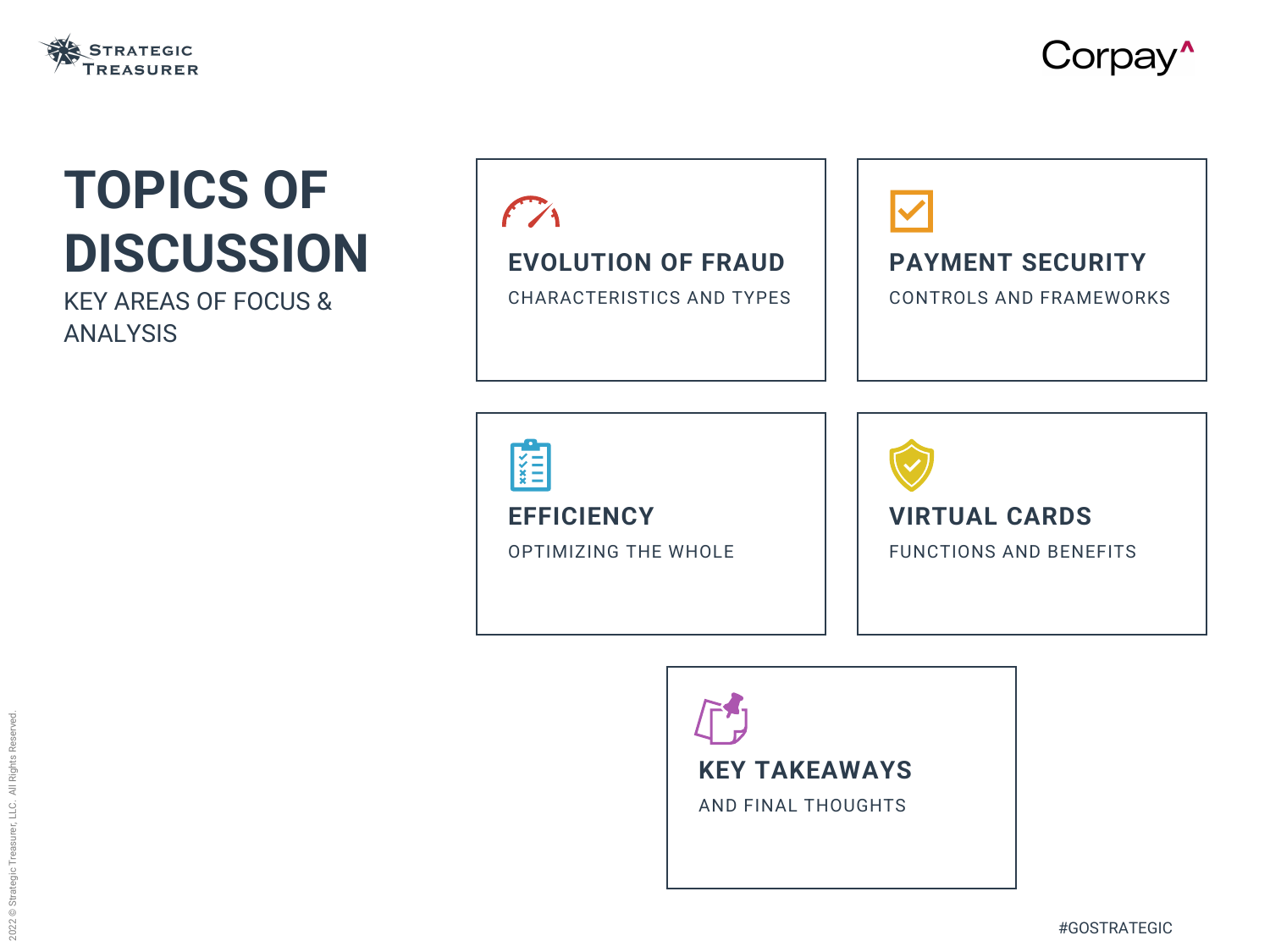### **EVOLUTION OF FRAUD**

CHARACTERISTICS AND TYPES





# **TOPICS OF DISCUSSION**

KEY AREAS OF FOCUS & ANALYSIS



### **KEY TAKEAWAYS**

AND FINAL THOUGHTS

**EFFICIENCY**

OPTIMIZING THE WHOLE



Corpay<sup>^</sup>

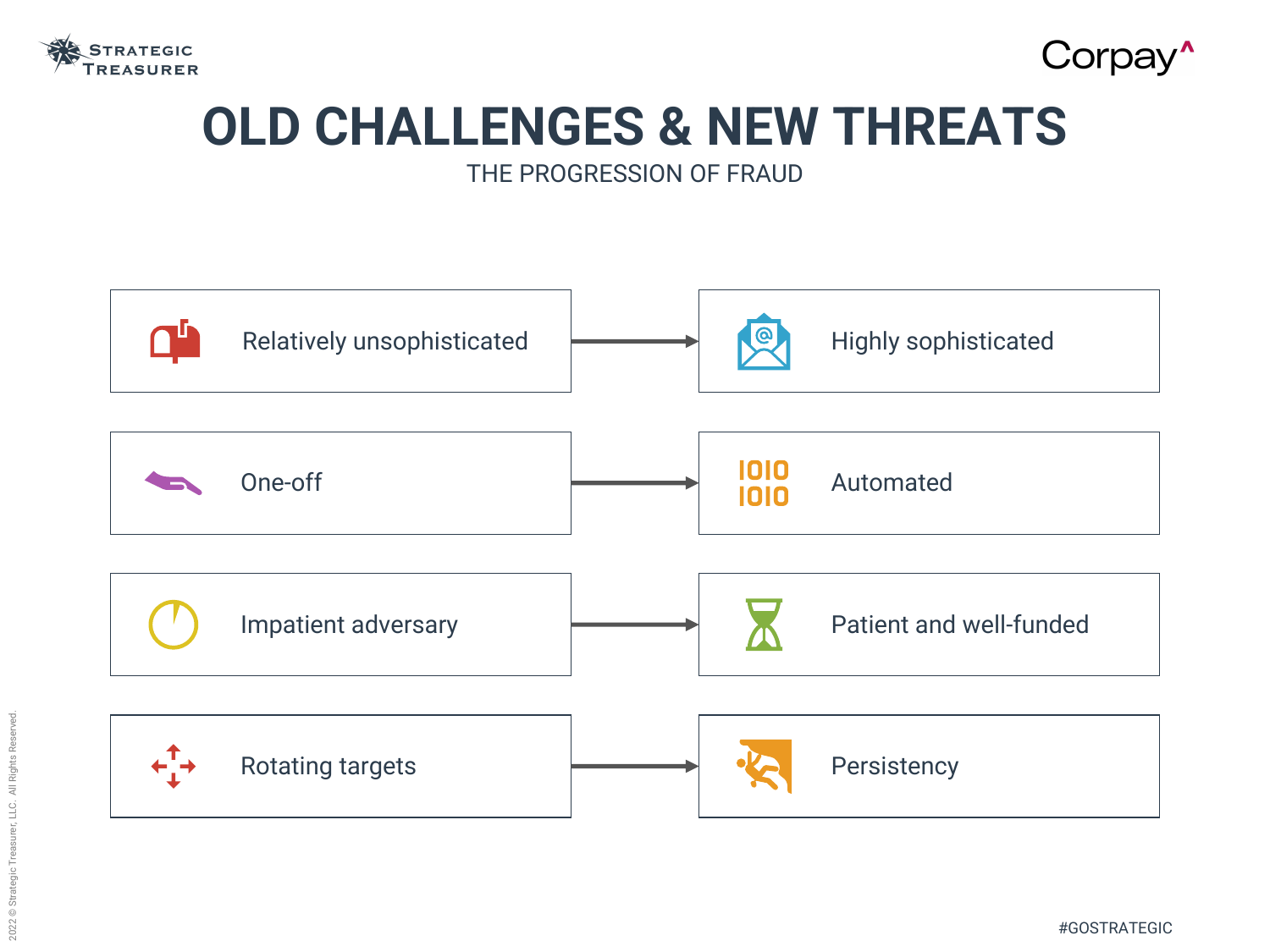

# Corpay<sup>^</sup> **OLD CHALLENGES & NEW THREATS**

#GOSTRATEGIC

THE PROGRESSION OF FRAUD

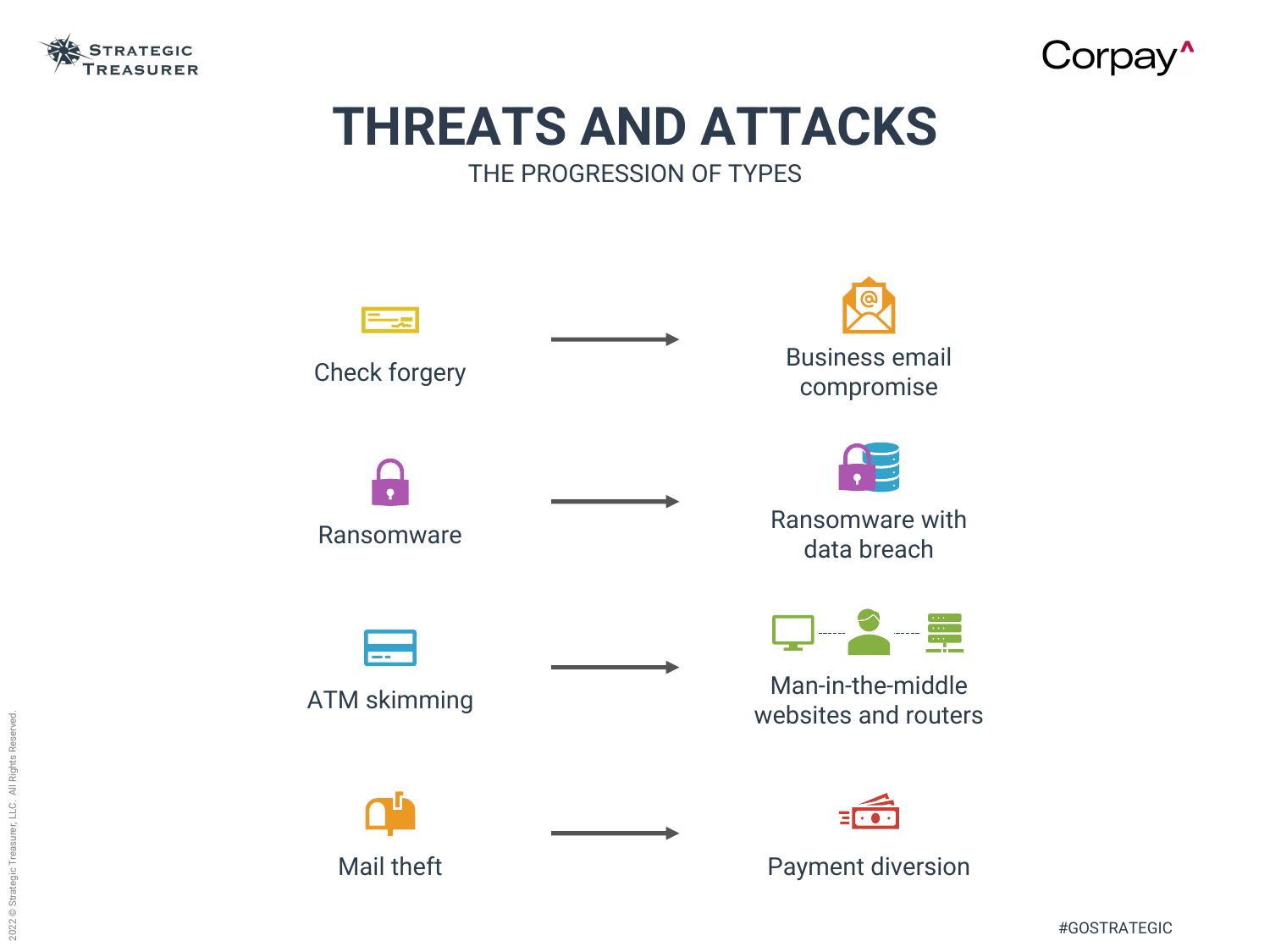

### **THREATS AND ATTACKS** THE PROGRESSION OF TYPES



# Corpay<sup>^</sup>





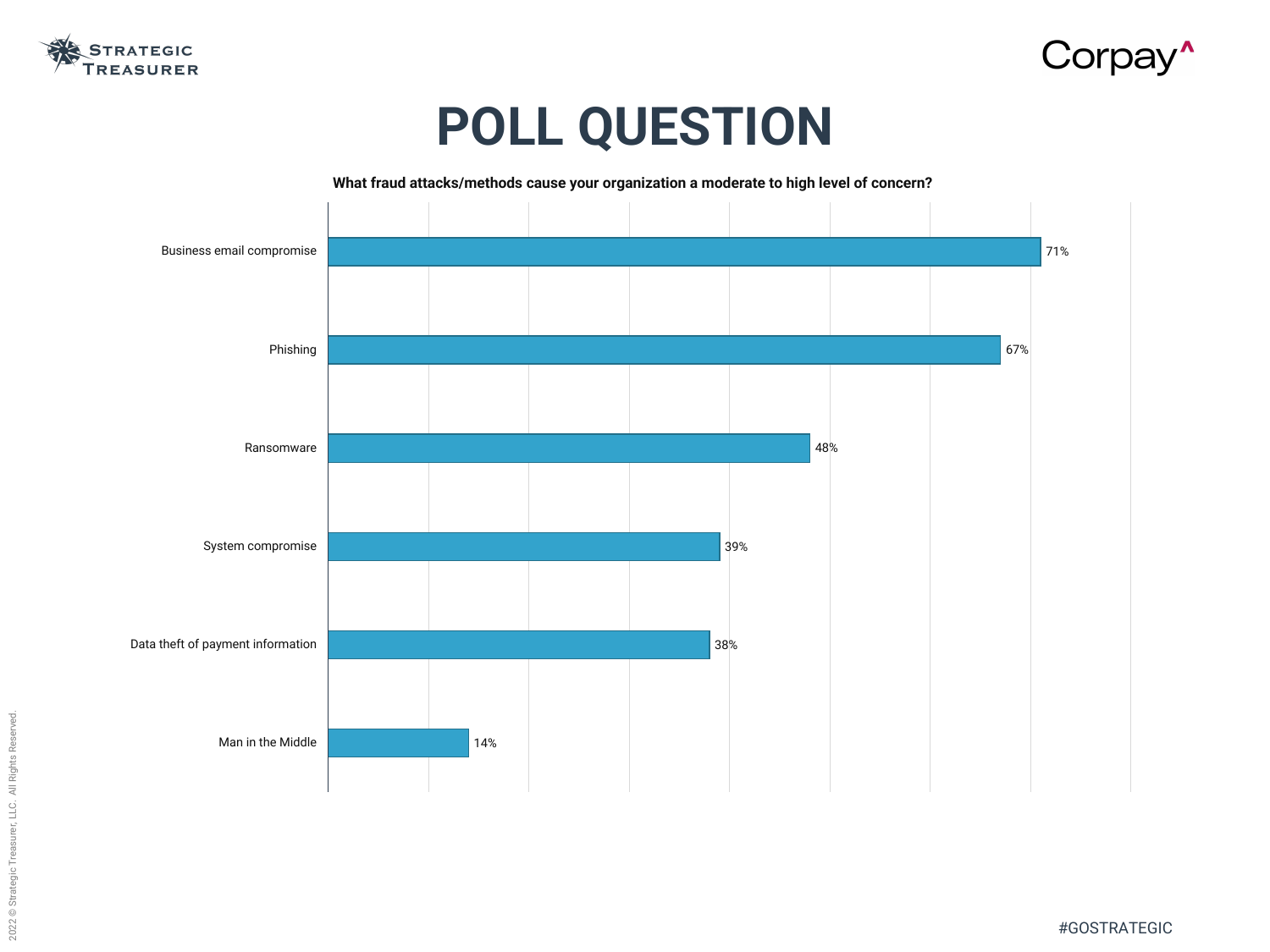

#GOSTRATEGIC



# **POLL QUESTION**



**What fraud attacks/methods cause your organization a moderate to high level of concern?**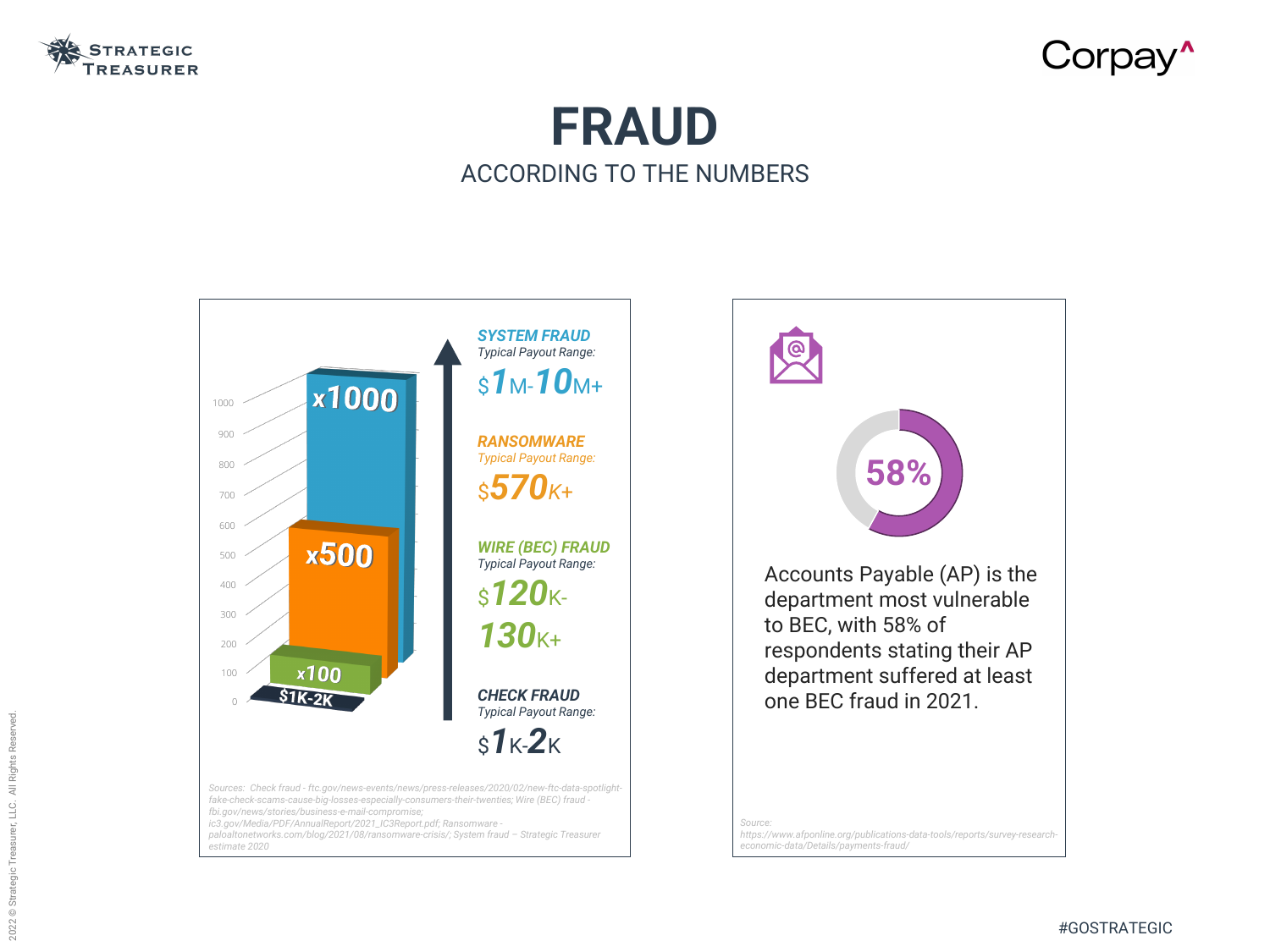

## **FRAUD** ACCORDING TO THE NUMBERS



*Source:*

# Corpay<sup>^</sup>

*https://www.afponline.org/publications-data-tools/reports/survey-researcheconomic-data/Details/payments-fraud/*



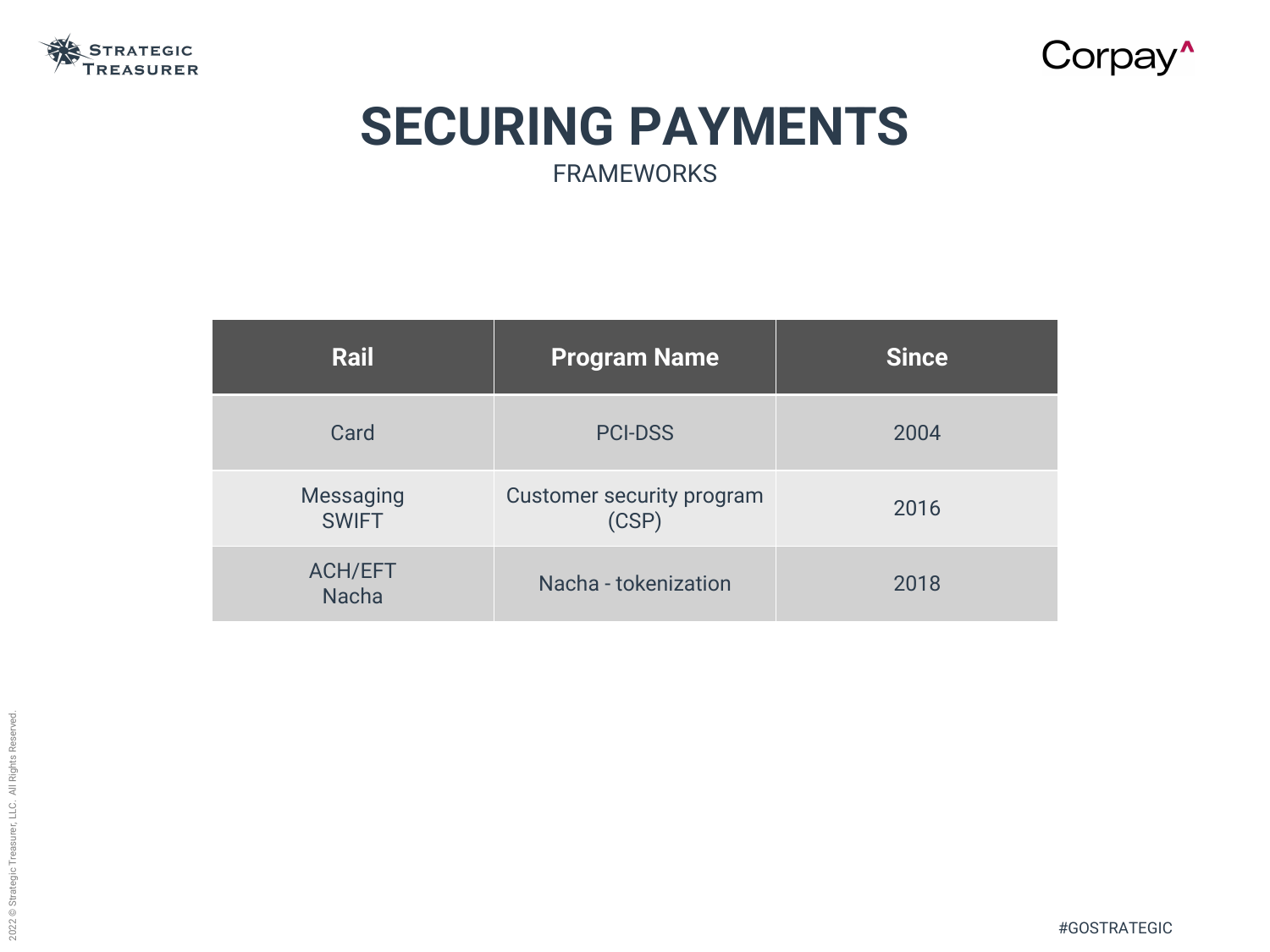#GOSTRATEGIC



## **SECURING PAYMENTS** FRAMEWORKS

| Rail                             | <b>Program Name</b>                       | <b>Since</b> |
|----------------------------------|-------------------------------------------|--------------|
| Card                             | <b>PCI-DSS</b>                            | 2004         |
| <b>Messaging</b><br><b>SWIFT</b> | <b>Customer security program</b><br>(CSP) | 2016         |
| <b>ACH/EFT</b><br><b>Nacha</b>   | Nacha - tokenization                      | 2018         |

| <b>Since</b> |  |
|--------------|--|
| 2004         |  |
| 2016         |  |
| 2018         |  |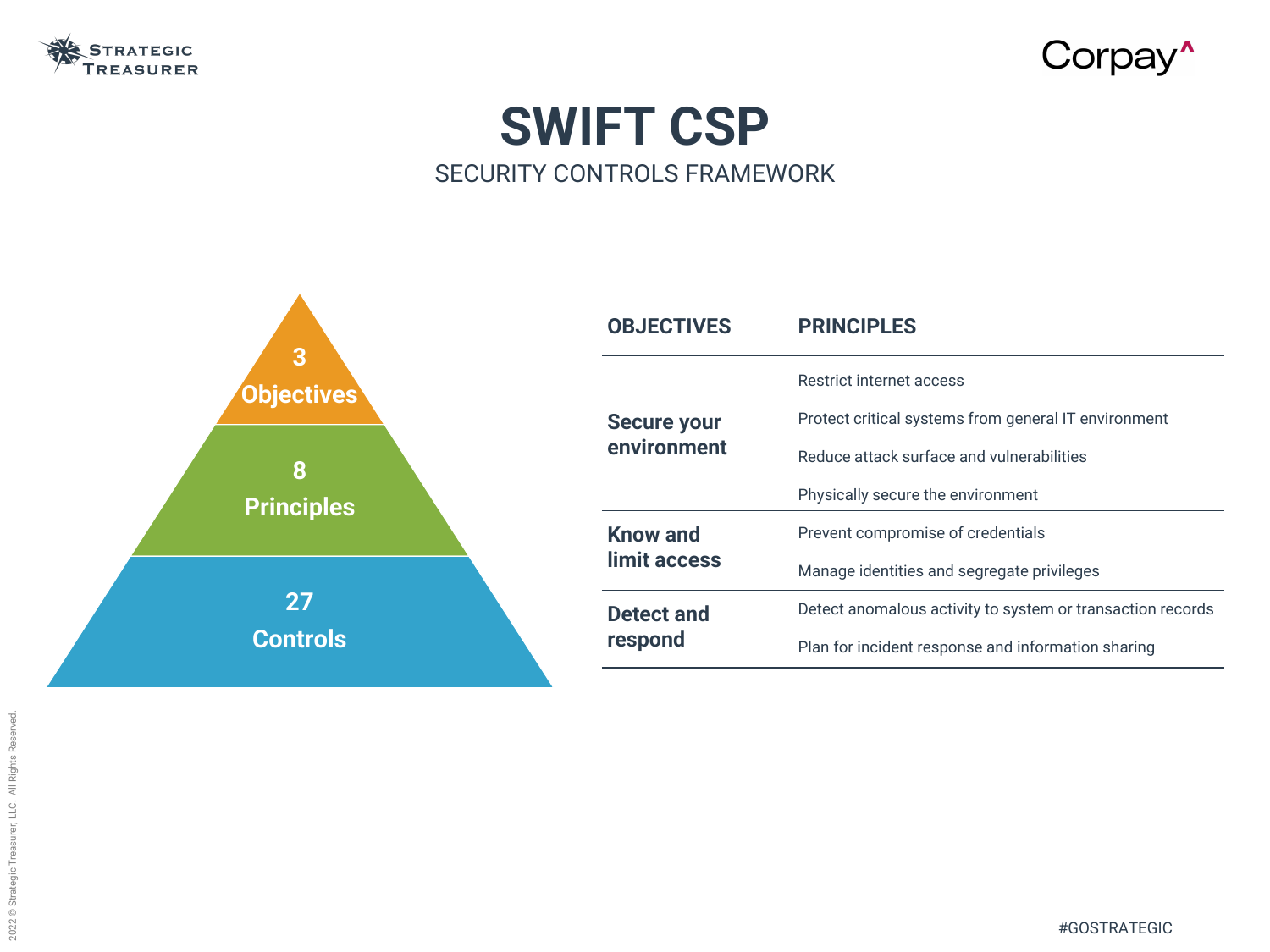

# **SWIFT CSP** SECURITY CONTROLS FRAMEWORK

- Restrict internet access
- Protect critical systems from general IT environment
- Reduce attack surface and vulnerabilities
- Physically secure the environment
- Prevent compromise of credentials
- Manage identities and segregate privileges
- Detect anomalous activity to system or transaction records
- Plan for incident response and information sharing



# Corpay'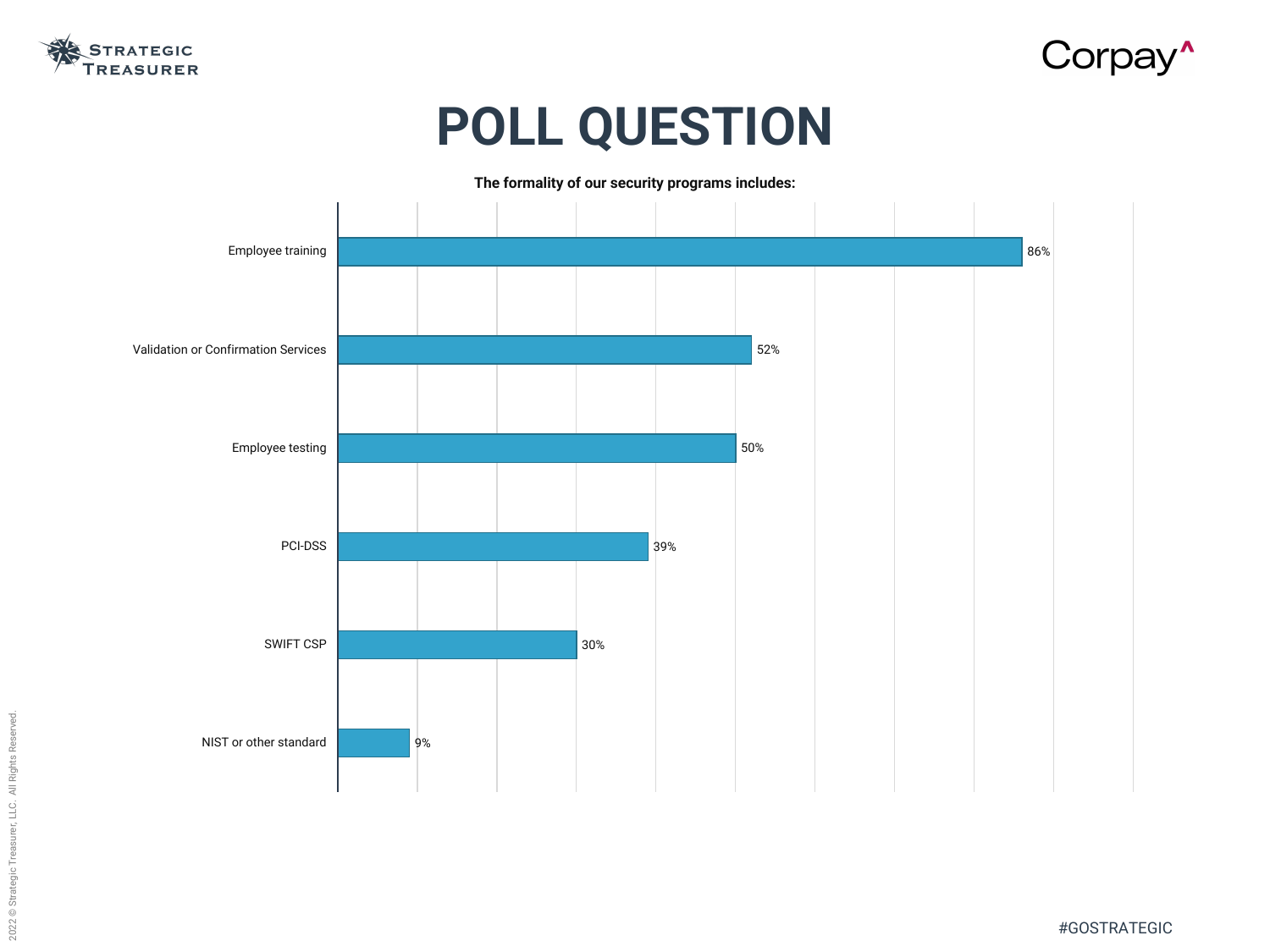

#GOSTRATEGIC



# **POLL QUESTION**



**The formality of our security programs includes:**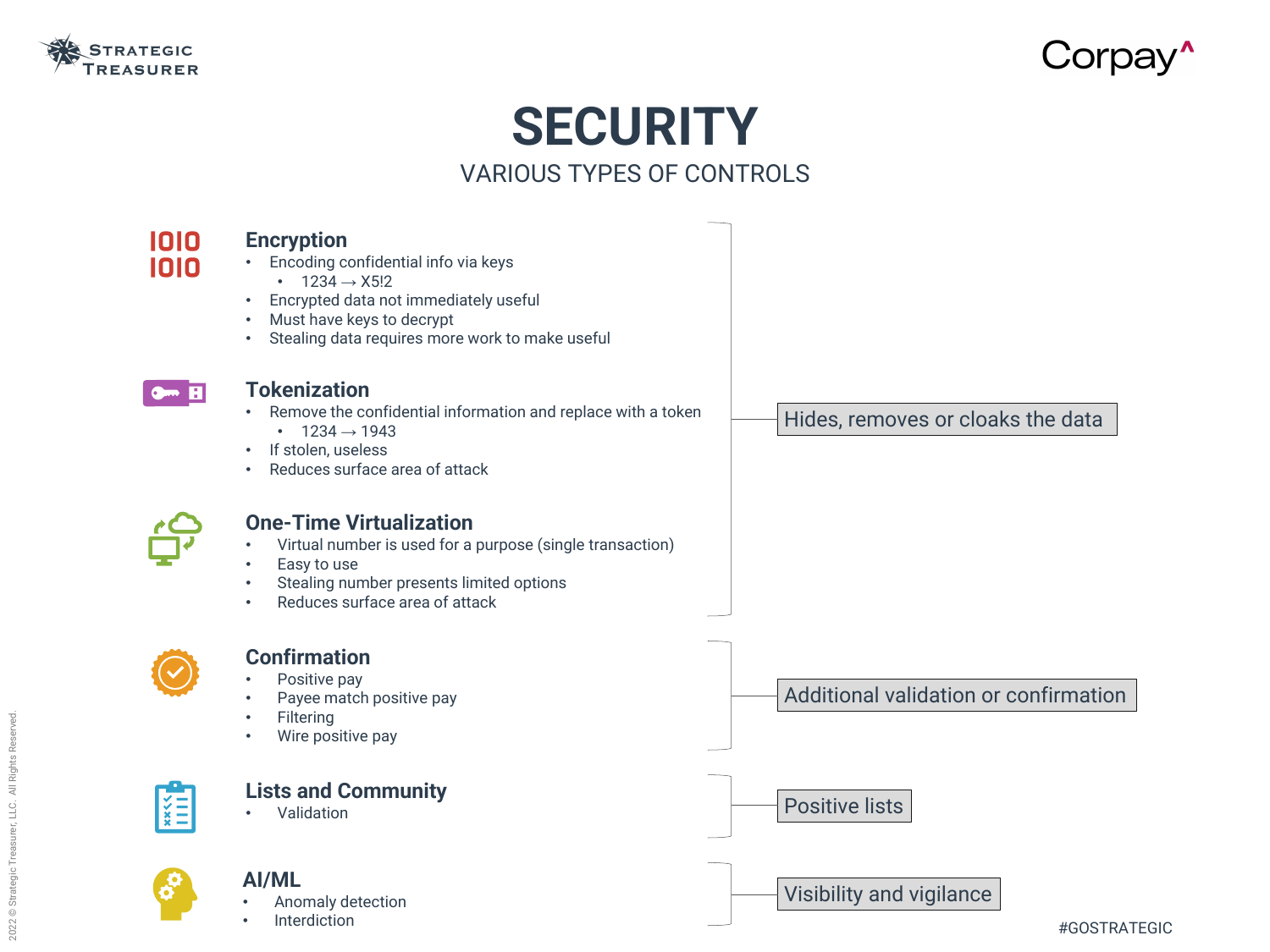

# **SECURITY**

#### VARIOUS TYPES OF CONTROLS

1010 1010

#### **Encryption**

- Encoding confidential info via keys
	- $1234 \rightarrow X5!2$
- Encrypted data not immediately useful
- Must have keys to decrypt
- Stealing data requires more work to make useful



#### **Tokenization**

- Remove the confidential information and replace with a token
	- $1234 \rightarrow 1943$
- If stolen, useless
- Reduces surface area of attack



- Anomaly detection
- **Interdiction**







#### **One-Time Virtualization**

- Virtual number is used for a purpose (single transaction)
- Easy to use
- Stealing number presents limited options
- Reduces surface area of attack



#### **Confirmation**

- Positive pay
- Payee match positive pay
- **Filtering**
- Wire positive pay



Hides, removes or cloaks the data

Additional validation or confirmation

Positive lists

Visibility and vigilance

#### **Lists and Community**

• Validation



#### **AI/ML**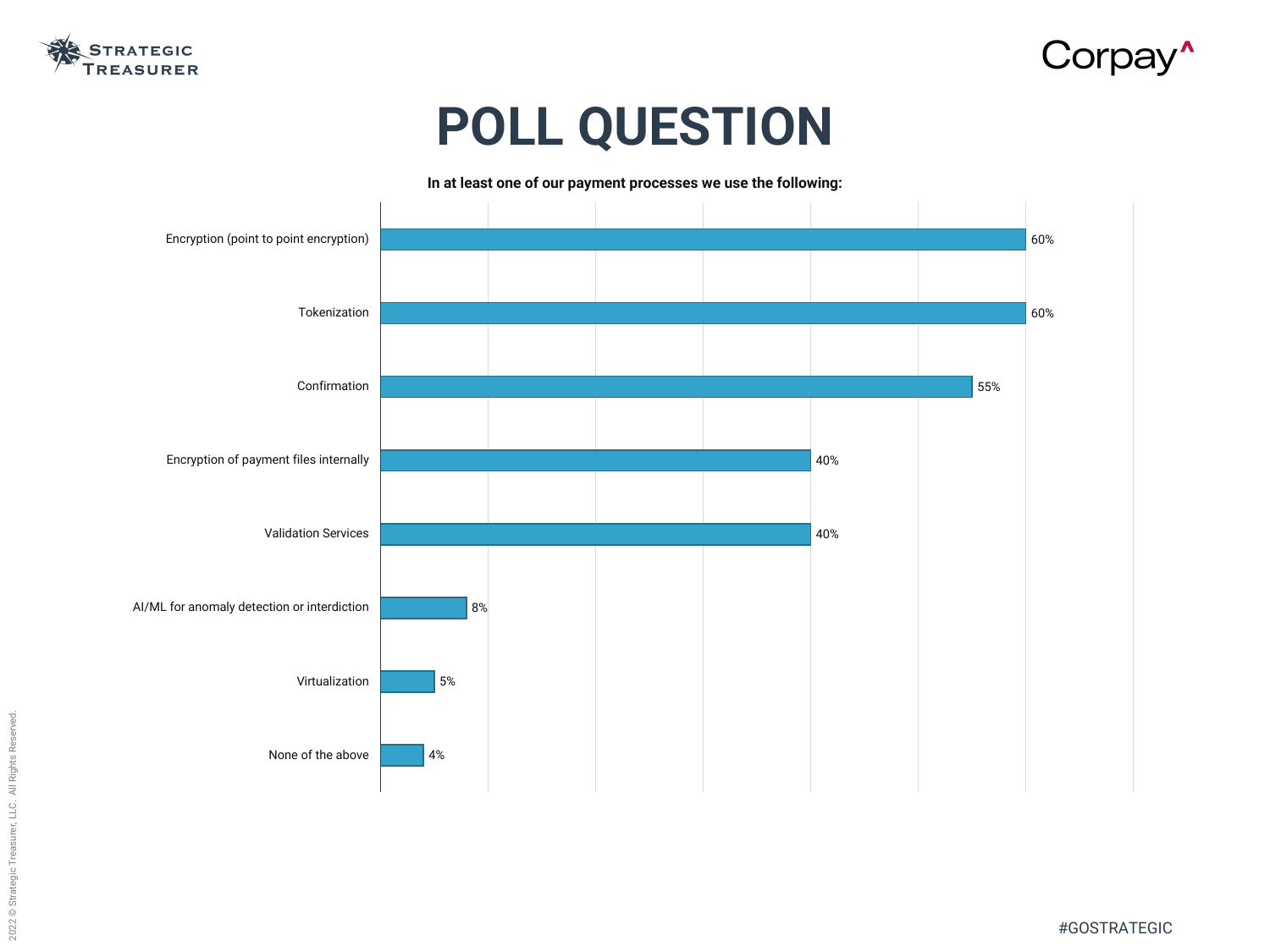

#GOSTRATEGIC



# **POLL QUESTION**



**In at least one of our payment processes we use the following:**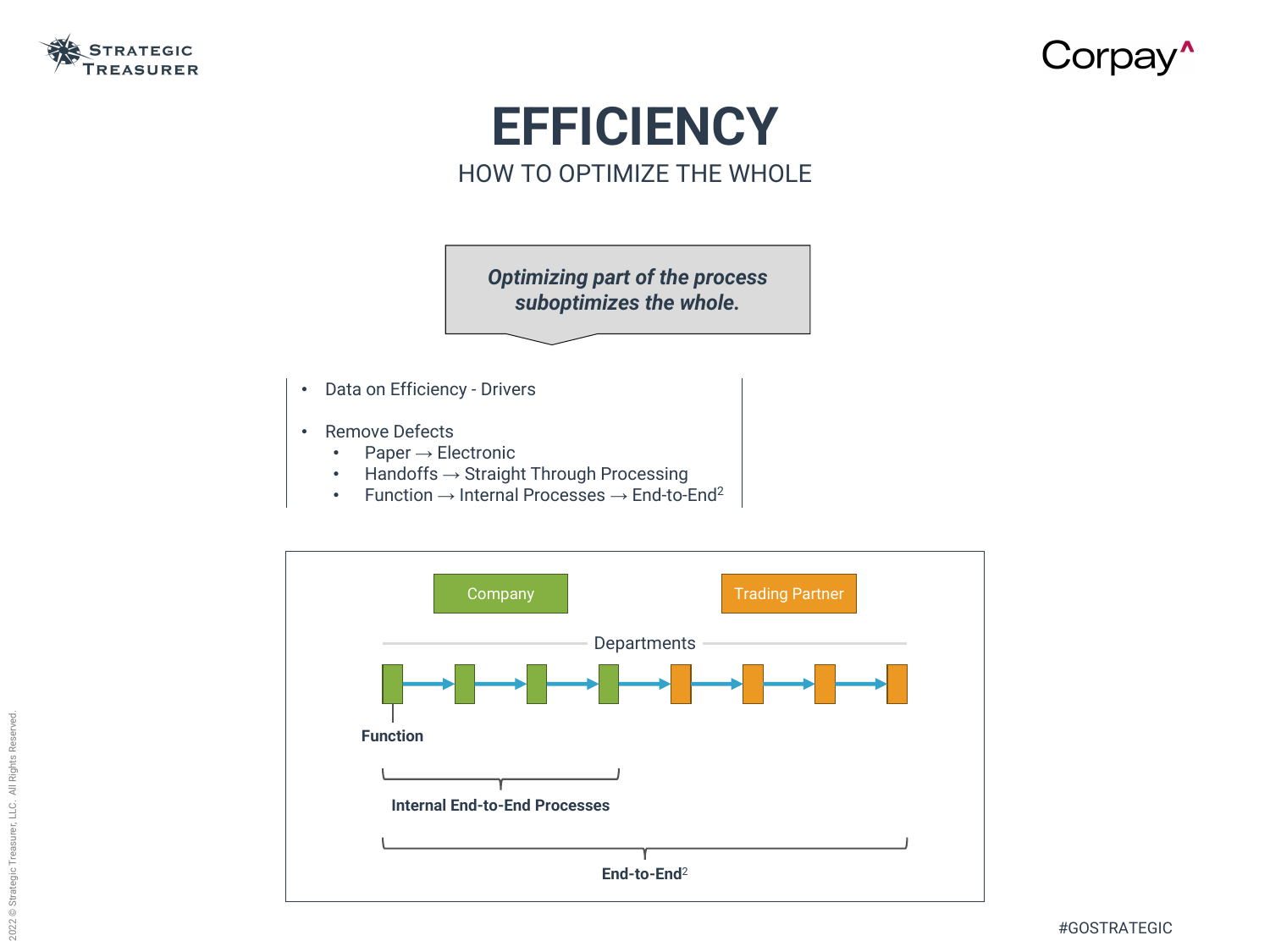

### **EFFICIENCY** HOW TO OPTIMIZE THE WHOLE

#### *Optimizing part of the process suboptimizes the whole.*

- Data on Efficiency Drivers
- Remove Defects
	- Paper → Electronic
	- Handoffs → Straight Through Processing
	- Function  $\rightarrow$  Internal Processes  $\rightarrow$  End-to-End<sup>2</sup>



# Corpay'



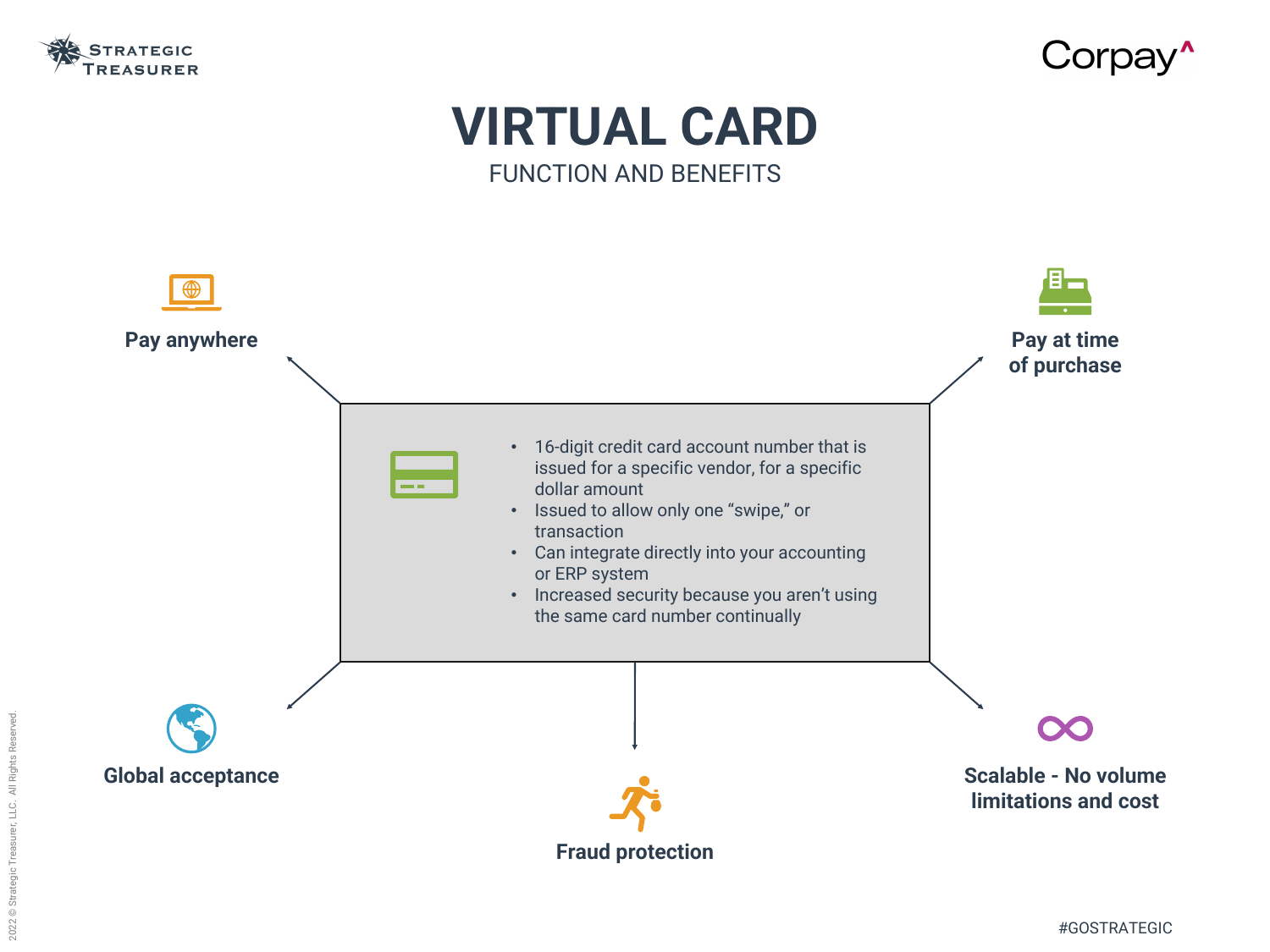

# FUNCTION AND BENEFITS

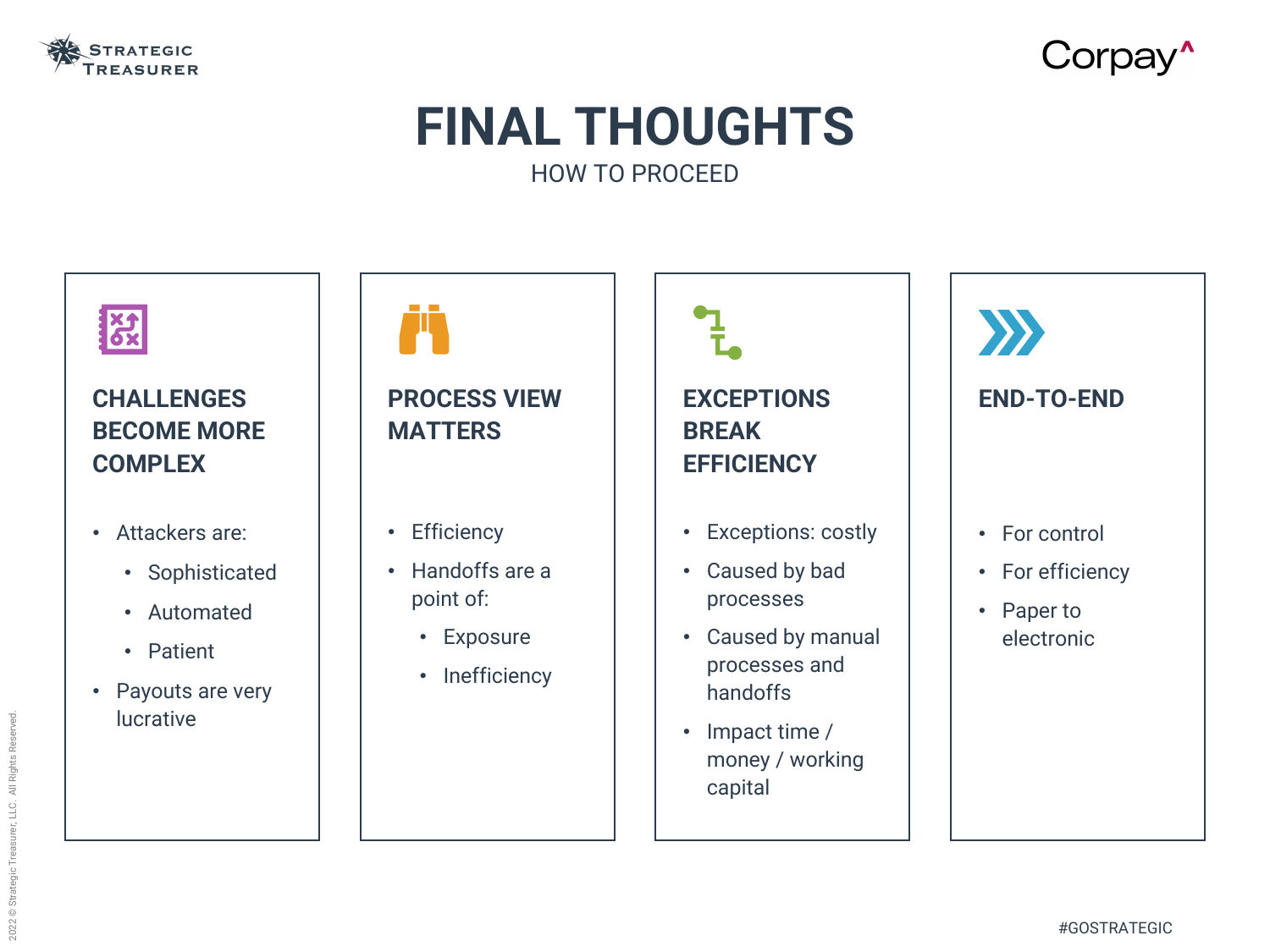

## **FINAL THOUGHTS** HOW TO PROCEED



### **CHALLENGES BECOME MORE COMPLEX**

- Attackers are:
	- Sophisticated
	- Automated
	- Patient
- Payouts are very lucrative

### **PROCESS VIEW MATTERS**

• Efficiency

İή

- Handoffs are a point of:
	- Exposure
	- Inefficiency

# **EXCEPTIONS BREAK EFFICIENCY**

- Exceptions: costly
- Caused by bad processes
- Caused by manual processes and handoffs
- Impact time / money / working capital

# Corpay<sup>^</sup>